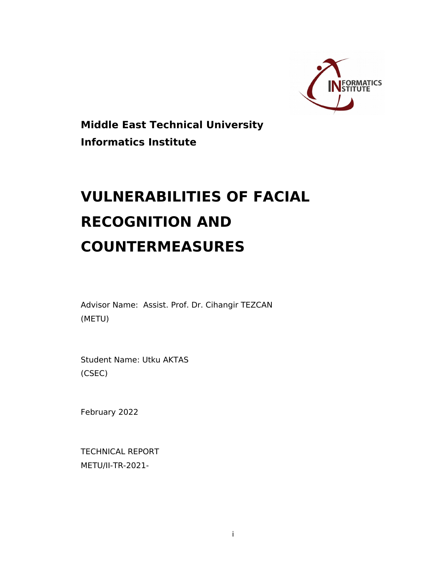

**Middle East Technical University Informatics Institute**

# **VULNERABILITIES OF FACIAL RECOGNITION AND COUNTERMEASURES**

Advisor Name: Assist. Prof. Dr. Cihangir TEZCAN (METU)

Student Name: Utku AKTAS (CSEC)

February 2022

TECHNICAL REPORT METU/II-TR-2021-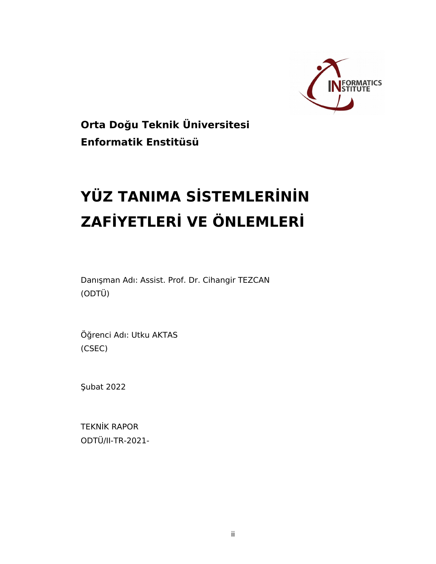

**Orta Doğu Teknik Üniversitesi Enformatik Enstitüsü**

# **YÜZ TANIMA SİSTEMLERİNİN ZAFİYETLERİ VE ÖNLEMLERİ**

Danışman Adı: Assist. Prof. Dr. Cihangir TEZCAN (ODTÜ)

Öğrenci Adı: Utku AKTAS (CSEC)

Şubat 2022

TEKNİK RAPOR ODTÜ/II-TR-2021-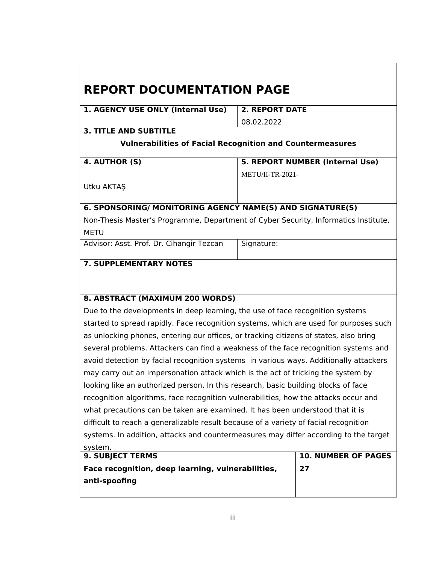### **REPORT DOCUMENTATION PAGE**

**1. AGENCY USE ONLY (Internal Use) 2. REPORT DATE**

08.02.2022

#### **3. TITLE AND SUBTITLE**

#### **Vulnerabilities of Facial Recognition and Countermeasures**

| 4. AUTHOR (S) | 5. REPORT NUMBER (Internal Use) |
|---------------|---------------------------------|
|               | METU/II-TR-2021-                |
| Utku AKTAŞ    |                                 |

#### **6. SPONSORING/ MONITORING AGENCY NAME(S) AND SIGNATURE(S)**

Non-Thesis Master's Programme, Department of Cyber Security, Informatics Institute, METU

Advisor: Asst. Prof. Dr. Cihangir Tezcan | Signature:

#### **7. SUPPLEMENTARY NOTES**

#### **8. ABSTRACT (MAXIMUM 200 WORDS)**

Due to the developments in deep learning, the use of face recognition systems started to spread rapidly. Face recognition systems, which are used for purposes such as unlocking phones, entering our offices, or tracking citizens of states, also bring several problems. Attackers can find a weakness of the face recognition systems and avoid detection by facial recognition systems in various ways. Additionally attackers may carry out an impersonation attack which is the act of tricking the system by looking like an authorized person. In this research, basic building blocks of face recognition algorithms, face recognition vulnerabilities, how the attacks occur and what precautions can be taken are examined. It has been understood that it is difficult to reach a generalizable result because of a variety of facial recognition systems. In addition, attacks and countermeasures may differ according to the target system.

| <b>9. SUBJECT TERMS</b>                           | <b>10. NUMBER OF PAGES</b> |
|---------------------------------------------------|----------------------------|
| Face recognition, deep learning, vulnerabilities, | 27                         |
| anti-spoofing                                     |                            |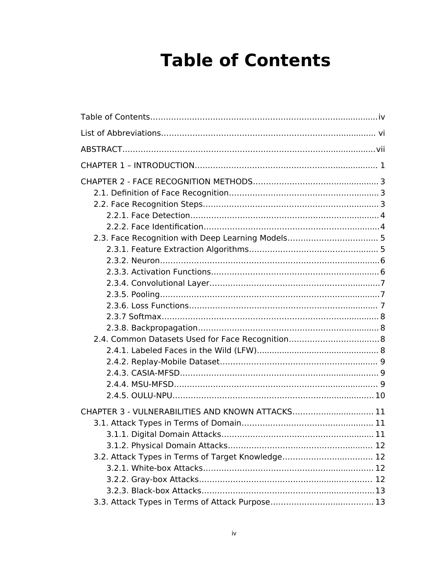# <span id="page-3-0"></span>**Table of Contents**

| CHAPTER 3 - VULNERABILITIES AND KNOWN ATTACKS 11<br>3.2. Attack Types in Terms of Target Knowledge 12 |  |
|-------------------------------------------------------------------------------------------------------|--|
|                                                                                                       |  |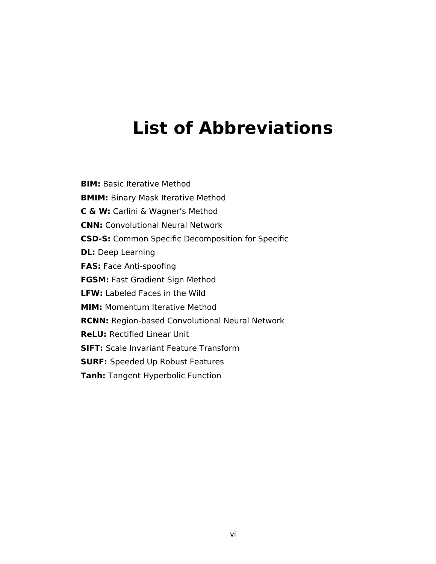## <span id="page-5-0"></span>**List of Abbreviations**

**BIM: Basic Iterative Method BMIM:** Binary Mask Iterative Method **C & W:** Carlini & Wagner's Method **CNN:** Convolutional Neural Network **CSD-S:** Common Specific Decomposition for Specific **DL:** Deep Learning **FAS:** Face Anti-spoofing **FGSM:** Fast Gradient Sign Method **LFW:** Labeled Faces in the Wild **MIM:** Momentum Iterative Method **RCNN:** Region-based Convolutional Neural Network **ReLU:** Rectified Linear Unit **SIFT: Scale Invariant Feature Transform SURF:** Speeded Up Robust Features **Tanh:** Tangent Hyperbolic Function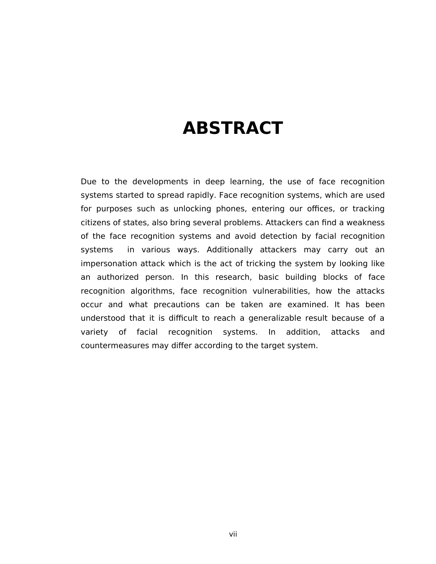## <span id="page-6-0"></span>**ABSTRACT**

Due to the developments in deep learning, the use of face recognition systems started to spread rapidly. Face recognition systems, which are used for purposes such as unlocking phones, entering our offices, or tracking citizens of states, also bring several problems. Attackers can find a weakness of the face recognition systems and avoid detection by facial recognition systems in various ways. Additionally attackers may carry out an impersonation attack which is the act of tricking the system by looking like an authorized person. In this research, basic building blocks of face recognition algorithms, face recognition vulnerabilities, how the attacks occur and what precautions can be taken are examined. It has been understood that it is difficult to reach a generalizable result because of a variety of facial recognition systems. In addition, attacks and countermeasures may differ according to the target system.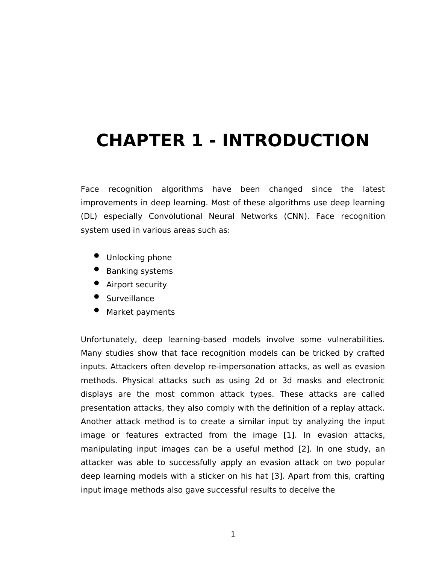# <span id="page-7-0"></span>**CHAPTER 1 - INTRODUCTION**

Face recognition algorithms have been changed since the latest improvements in deep learning. Most of these algorithms use deep learning (DL) especially Convolutional Neural Networks (CNN). Face recognition system used in various areas such as:

- Unlocking phone
- **•** Banking systems
- **•** Airport security
- **Surveillance**
- Market payments

Unfortunately, deep learning-based models involve some vulnerabilities. Many studies show that face recognition models can be tricked by crafted inputs. Attackers often develop re-impersonation attacks, as well as evasion methods. Physical attacks such as using 2d or 3d masks and electronic displays are the most common attack types. These attacks are called presentation attacks, they also comply with the definition of a replay attack. Another attack method is to create a similar input by analyzing the input image or features extracted from the image [1]. In evasion attacks, manipulating input images can be a useful method [2]. In one study, an attacker was able to successfully apply an evasion attack on two popular deep learning models with a sticker on his hat [3]. Apart from this, crafting input image methods also gave successful results to deceive the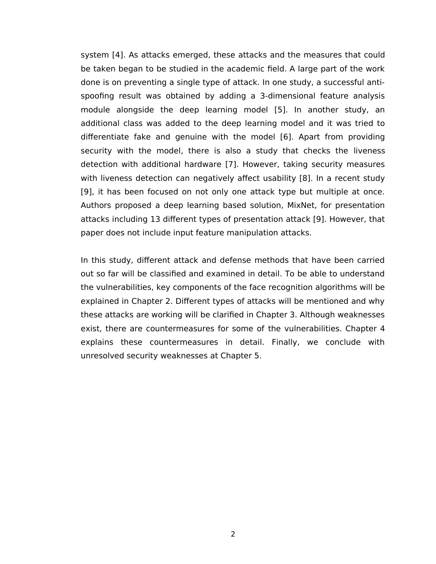system [4]. As attacks emerged, these attacks and the measures that could be taken began to be studied in the academic field. A large part of the work done is on preventing a single type of attack. In one study, a successful antispoofing result was obtained by adding a 3-dimensional feature analysis module alongside the deep learning model [5]. In another study, an additional class was added to the deep learning model and it was tried to differentiate fake and genuine with the model [6]. Apart from providing security with the model, there is also a study that checks the liveness detection with additional hardware [7]. However, taking security measures with liveness detection can negatively affect usability [8]. In a recent study [9], it has been focused on not only one attack type but multiple at once. Authors proposed a deep learning based solution, MixNet, for presentation attacks including 13 different types of presentation attack [9]. However, that paper does not include input feature manipulation attacks.

In this study, different attack and defense methods that have been carried out so far will be classified and examined in detail. To be able to understand the vulnerabilities, key components of the face recognition algorithms will be explained in Chapter 2. Different types of attacks will be mentioned and why these attacks are working will be clarified in Chapter 3. Although weaknesses exist, there are countermeasures for some of the vulnerabilities. Chapter 4 explains these countermeasures in detail. Finally, we conclude with unresolved security weaknesses at Chapter 5.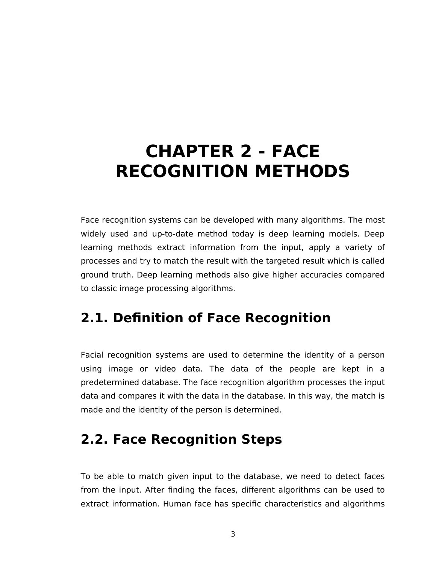# <span id="page-9-0"></span>**CHAPTER 2 - FACE RECOGNITION METHODS**

Face recognition systems can be developed with many algorithms. The most widely used and up-to-date method today is deep learning models. Deep learning methods extract information from the input, apply a variety of processes and try to match the result with the targeted result which is called ground truth. Deep learning methods also give higher accuracies compared to classic image processing algorithms.

### <span id="page-9-1"></span>**2.1. Definition of Face Recognition**

Facial recognition systems are used to determine the identity of a person using image or video data. The data of the people are kept in a predetermined database. The face recognition algorithm processes the input data and compares it with the data in the database. In this way, the match is made and the identity of the person is determined.

### <span id="page-9-2"></span>**2.2. Face Recognition Steps**

To be able to match given input to the database, we need to detect faces from the input. After finding the faces, different algorithms can be used to extract information. Human face has specific characteristics and algorithms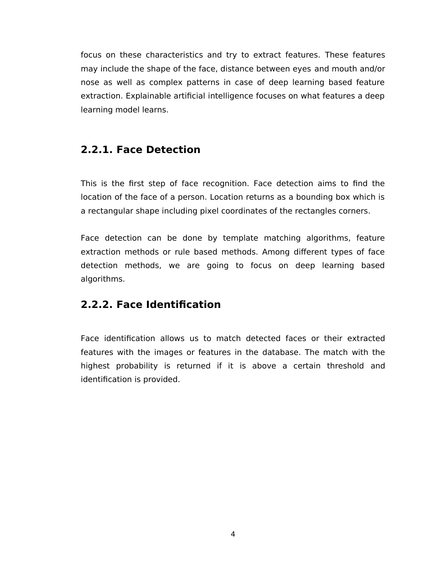focus on these characteristics and try to extract features. These features may include the shape of the face, distance between eyes and mouth and/or nose as well as complex patterns in case of deep learning based feature extraction. Explainable artificial intelligence focuses on what features a deep learning model learns.

#### <span id="page-10-0"></span>**2.2.1. Face Detection**

This is the first step of face recognition. Face detection aims to find the location of the face of a person. Location returns as a bounding box which is a rectangular shape including pixel coordinates of the rectangles corners.

Face detection can be done by template matching algorithms, feature extraction methods or rule based methods. Among different types of face detection methods, we are going to focus on deep learning based algorithms.

#### <span id="page-10-1"></span>**2.2.2. Face Identification**

Face identification allows us to match detected faces or their extracted features with the images or features in the database. The match with the highest probability is returned if it is above a certain threshold and identification is provided.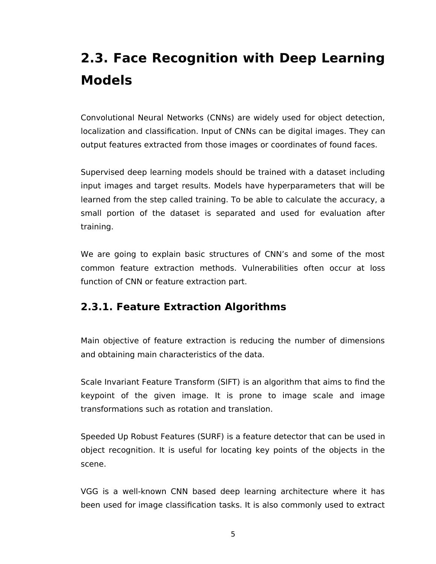### <span id="page-11-0"></span>**2.3. Face Recognition with Deep Learning Models**

Convolutional Neural Networks (CNNs) are widely used for object detection, localization and classification. Input of CNNs can be digital images. They can output features extracted from those images or coordinates of found faces.

Supervised deep learning models should be trained with a dataset including input images and target results. Models have hyperparameters that will be learned from the step called training. To be able to calculate the accuracy, a small portion of the dataset is separated and used for evaluation after training.

We are going to explain basic structures of CNN's and some of the most common feature extraction methods. Vulnerabilities often occur at loss function of CNN or feature extraction part.

#### <span id="page-11-1"></span>**2.3.1. Feature Extraction Algorithms**

Main objective of feature extraction is reducing the number of dimensions and obtaining main characteristics of the data.

Scale Invariant Feature Transform (SIFT) is an algorithm that aims to find the keypoint of the given image. It is prone to image scale and image transformations such as rotation and translation.

Speeded Up Robust Features (SURF) is a feature detector that can be used in object recognition. It is useful for locating key points of the objects in the scene.

VGG is a well-known CNN based deep learning architecture where it has been used for image classification tasks. It is also commonly used to extract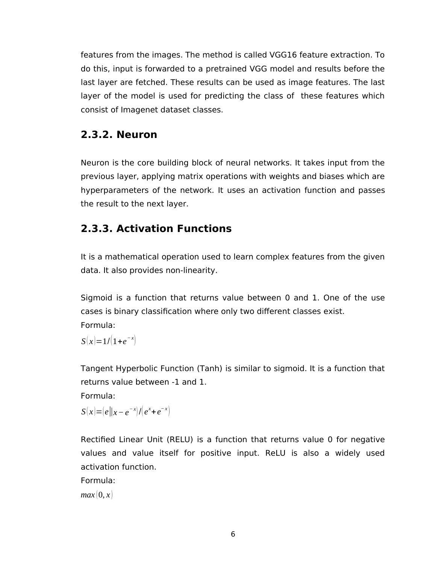features from the images. The method is called VGG16 feature extraction. To do this, input is forwarded to a pretrained VGG model and results before the last layer are fetched. These results can be used as image features. The last layer of the model is used for predicting the class of these features which consist of Imagenet dataset classes.

#### <span id="page-12-0"></span>**2.3.2. Neuron**

Neuron is the core building block of neural networks. It takes input from the previous layer, applying matrix operations with weights and biases which are hyperparameters of the network. It uses an activation function and passes the result to the next layer.

#### <span id="page-12-1"></span>**2.3.3. Activation Functions**

It is a mathematical operation used to learn complex features from the given data. It also provides non-linearity.

Sigmoid is a function that returns value between 0 and 1. One of the use cases is binary classification where only two different classes exist. Formula:

 $S(x)=1/[1+e^{-x}]$ 

Tangent Hyperbolic Function (Tanh) is similar to sigmoid. It is a function that returns value between -1 and 1.

Formula:

 $S(x)=|e||x-e^{-x}|/|e^{x}+e^{-x}|$ 

Rectified Linear Unit (RELU) is a function that returns value 0 for negative values and value itself for positive input. ReLU is also a widely used activation function.

Formula:

 $max(0, x)$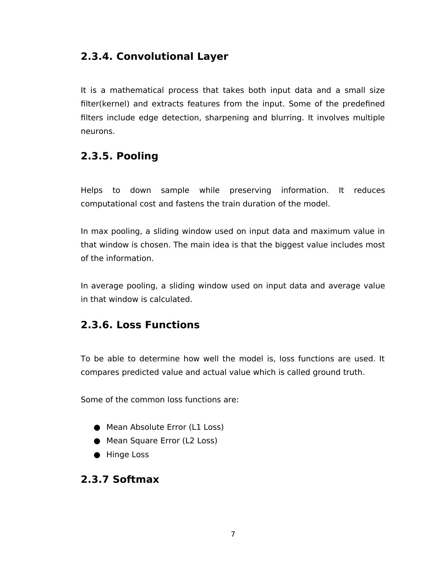#### <span id="page-13-0"></span>**2.3.4. Convolutional Layer**

It is a mathematical process that takes both input data and a small size filter(kernel) and extracts features from the input. Some of the predefined filters include edge detection, sharpening and blurring. It involves multiple neurons.

#### <span id="page-13-1"></span>**2.3.5. Pooling**

Helps to down sample while preserving information. It reduces computational cost and fastens the train duration of the model.

In max pooling, a sliding window used on input data and maximum value in that window is chosen. The main idea is that the biggest value includes most of the information.

In average pooling, a sliding window used on input data and average value in that window is calculated.

#### <span id="page-13-2"></span>**2.3.6. Loss Functions**

To be able to determine how well the model is, loss functions are used. It compares predicted value and actual value which is called ground truth.

Some of the common loss functions are:

- Mean Absolute Error (L1 Loss)
- Mean Square Error (L2 Loss)
- Hinge Loss

#### <span id="page-13-3"></span>**2.3.7 Softmax**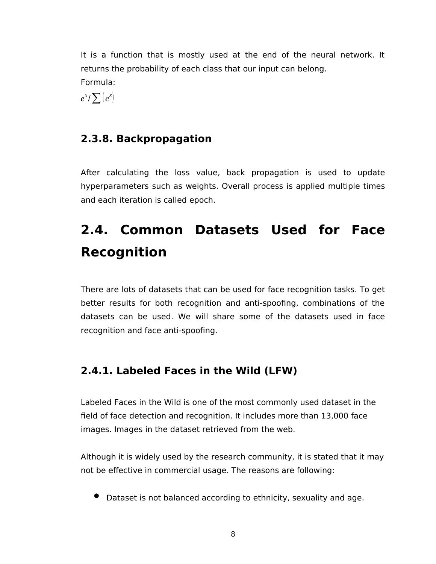It is a function that is mostly used at the end of the neural network. It returns the probability of each class that our input can belong. Formula:

 $e^{x}/\sum_{i} |e^{x}|$ 

#### <span id="page-14-0"></span>**2.3.8. Backpropagation**

After calculating the loss value, back propagation is used to update hyperparameters such as weights. Overall process is applied multiple times and each iteration is called epoch.

### <span id="page-14-1"></span>**2.4. Common Datasets Used for Face Recognition**

There are lots of datasets that can be used for face recognition tasks. To get better results for both recognition and anti-spoofing, combinations of the datasets can be used. We will share some of the datasets used in face recognition and face anti-spoofing.

#### <span id="page-14-2"></span>**2.4.1. Labeled Faces in the Wild (LFW)**

Labeled Faces in the Wild is one of the most commonly used dataset in the field of face detection and recognition. It includes more than 13,000 face images. Images in the dataset retrieved from the web.

Although it is widely used by the research community, it is stated that it may not be effective in commercial usage. The reasons are following:

Dataset is not balanced according to ethnicity, sexuality and age.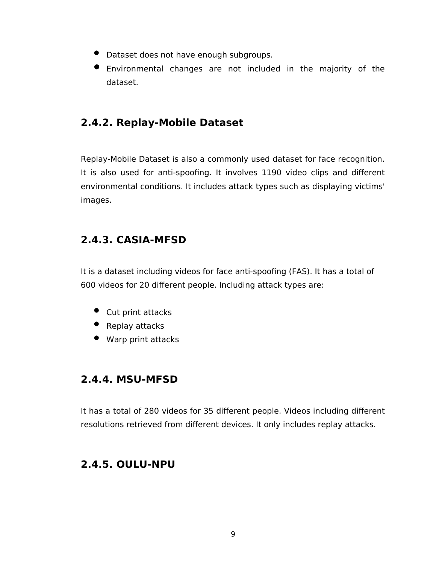- Dataset does not have enough subgroups.
- Environmental changes are not included in the majority of the dataset.

#### <span id="page-15-0"></span>**2.4.2. Replay-Mobile Dataset**

Replay-Mobile Dataset is also a commonly used dataset for face recognition. It is also used for anti-spoofing. It involves 1190 video clips and different environmental conditions. It includes attack types such as displaying victims' images.

#### <span id="page-15-1"></span>**2.4.3. CASIA-MFSD**

It is a dataset including videos for face anti-spoofing (FAS). It has a total of 600 videos for 20 different people. Including attack types are:

- Cut print attacks
- Replay attacks
- Warp print attacks

#### <span id="page-15-2"></span>**2.4.4. MSU-MFSD**

It has a total of 280 videos for 35 different people. Videos including different resolutions retrieved from different devices. It only includes replay attacks.

#### <span id="page-15-3"></span>**2.4.5. OULU-NPU**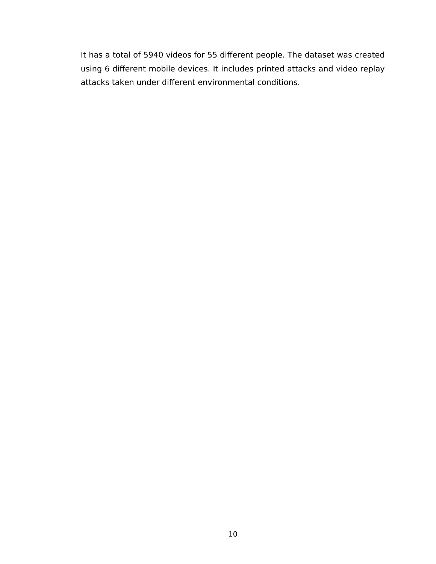It has a total of 5940 videos for 55 different people. The dataset was created using 6 different mobile devices. It includes printed attacks and video replay attacks taken under different environmental conditions.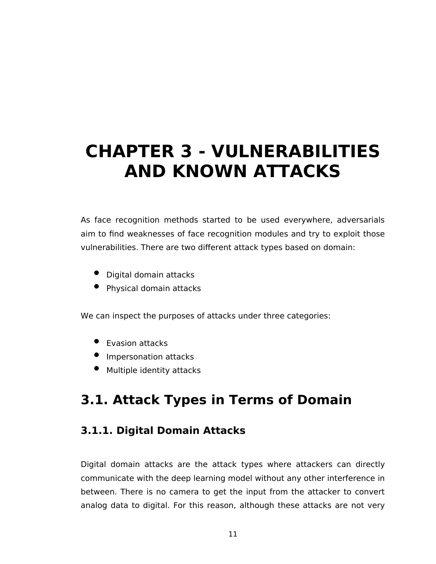# <span id="page-17-0"></span>**CHAPTER 3 - VULNERABILITIES AND KNOWN ATTACKS**

As face recognition methods started to be used everywhere, adversarials aim to find weaknesses of face recognition modules and try to exploit those vulnerabilities. There are two different attack types based on domain:

- Digital domain attacks
- Physical domain attacks

We can inspect the purposes of attacks under three categories:

- **•** Evasion attacks
- **•** Impersonation attacks
- Multiple identity attacks

### <span id="page-17-1"></span>**3.1. Attack Types in Terms of Domain**

#### <span id="page-17-2"></span>**3.1.1. Digital Domain Attacks**

Digital domain attacks are the attack types where attackers can directly communicate with the deep learning model without any other interference in between. There is no camera to get the input from the attacker to convert analog data to digital. For this reason, although these attacks are not very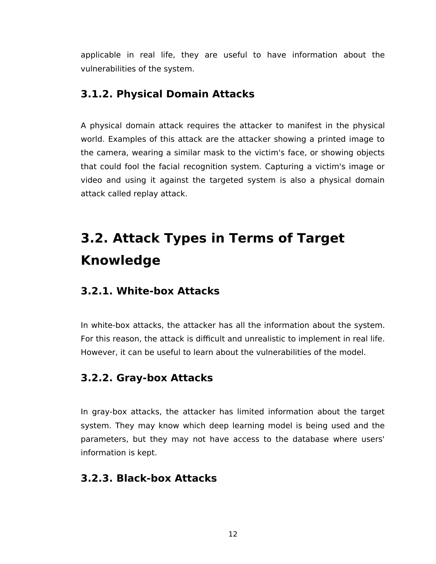applicable in real life, they are useful to have information about the vulnerabilities of the system.

#### <span id="page-18-0"></span>**3.1.2. Physical Domain Attacks**

A physical domain attack requires the attacker to manifest in the physical world. Examples of this attack are the attacker showing a printed image to the camera, wearing a similar mask to the victim's face, or showing objects that could fool the facial recognition system. Capturing a victim's image or video and using it against the targeted system is also a physical domain attack called replay attack.

### <span id="page-18-4"></span>**3.2. Attack Types in Terms of Target Knowledge**

#### <span id="page-18-1"></span>**3.2.1. White-box Attacks**

In white-box attacks, the attacker has all the information about the system. For this reason, the attack is difficult and unrealistic to implement in real life. However, it can be useful to learn about the vulnerabilities of the model.

#### <span id="page-18-2"></span>**3.2.2. Gray-box Attacks**

In gray-box attacks, the attacker has limited information about the target system. They may know which deep learning model is being used and the parameters, but they may not have access to the database where users' information is kept.

#### <span id="page-18-3"></span>**3.2.3. Black-box Attacks**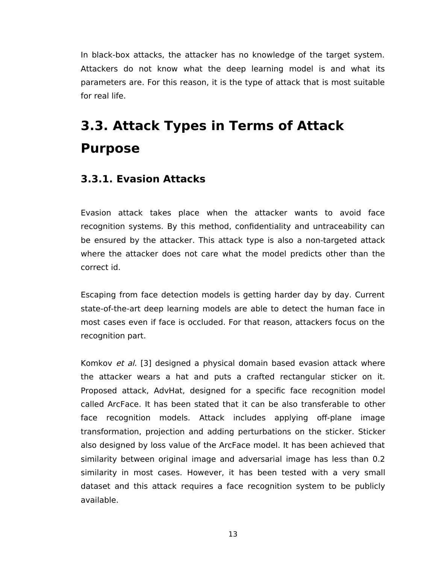In black-box attacks, the attacker has no knowledge of the target system. Attackers do not know what the deep learning model is and what its parameters are. For this reason, it is the type of attack that is most suitable for real life.

### <span id="page-19-0"></span>**3.3. Attack Types in Terms of Attack Purpose**

#### <span id="page-19-1"></span>**3.3.1. Evasion Attacks**

Evasion attack takes place when the attacker wants to avoid face recognition systems. By this method, confidentiality and untraceability can be ensured by the attacker. This attack type is also a non-targeted attack where the attacker does not care what the model predicts other than the correct id.

Escaping from face detection models is getting harder day by day. Current state-of-the-art deep learning models are able to detect the human face in most cases even if face is occluded. For that reason, attackers focus on the recognition part.

Komkov et al. [3] designed a physical domain based evasion attack where the attacker wears a hat and puts a crafted rectangular sticker on it. Proposed attack, AdvHat, designed for a specific face recognition model called ArcFace. It has been stated that it can be also transferable to other face recognition models. Attack includes applying off-plane image transformation, projection and adding perturbations on the sticker. Sticker also designed by loss value of the ArcFace model. It has been achieved that similarity between original image and adversarial image has less than 0.2 similarity in most cases. However, it has been tested with a very small dataset and this attack requires a face recognition system to be publicly available.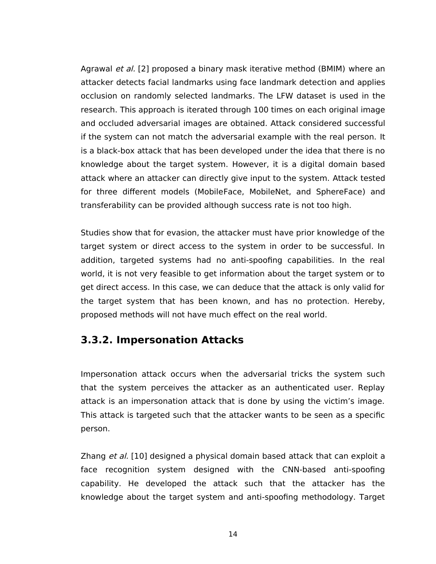Agrawal et al. [2] proposed a binary mask iterative method (BMIM) where an attacker detects facial landmarks using face landmark detection and applies occlusion on randomly selected landmarks. The LFW dataset is used in the research. This approach is iterated through 100 times on each original image and occluded adversarial images are obtained. Attack considered successful if the system can not match the adversarial example with the real person. It is a black-box attack that has been developed under the idea that there is no knowledge about the target system. However, it is a digital domain based attack where an attacker can directly give input to the system. Attack tested for three different models (MobileFace, MobileNet, and SphereFace) and transferability can be provided although success rate is not too high.

Studies show that for evasion, the attacker must have prior knowledge of the target system or direct access to the system in order to be successful. In addition, targeted systems had no anti-spoofing capabilities. In the real world, it is not very feasible to get information about the target system or to get direct access. In this case, we can deduce that the attack is only valid for the target system that has been known, and has no protection. Hereby, proposed methods will not have much effect on the real world.

#### <span id="page-20-0"></span>**3.3.2. Impersonation Attacks**

Impersonation attack occurs when the adversarial tricks the system such that the system perceives the attacker as an authenticated user. Replay attack is an impersonation attack that is done by using the victim's image. This attack is targeted such that the attacker wants to be seen as a specific person.

Zhang et al. [10] designed a physical domain based attack that can exploit a face recognition system designed with the CNN-based anti-spoofing capability. He developed the attack such that the attacker has the knowledge about the target system and anti-spoofing methodology. Target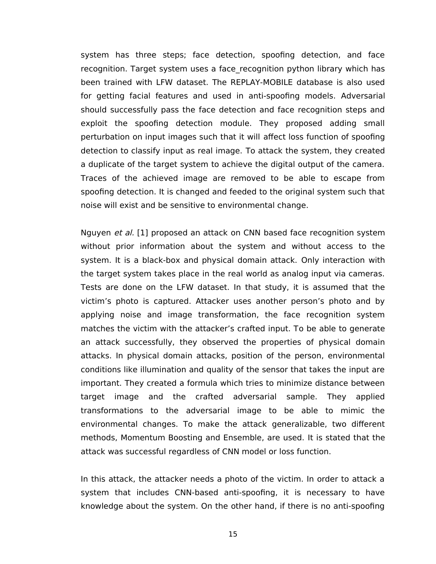system has three steps; face detection, spoofing detection, and face recognition. Target system uses a face recognition python library which has been trained with LFW dataset. The REPLAY-MOBILE database is also used for getting facial features and used in anti-spoofing models. Adversarial should successfully pass the face detection and face recognition steps and exploit the spoofing detection module. They proposed adding small perturbation on input images such that it will affect loss function of spoofing detection to classify input as real image. To attack the system, they created a duplicate of the target system to achieve the digital output of the camera. Traces of the achieved image are removed to be able to escape from spoofing detection. It is changed and feeded to the original system such that noise will exist and be sensitive to environmental change.

Nguyen et al. [1] proposed an attack on CNN based face recognition system without prior information about the system and without access to the system. It is a black-box and physical domain attack. Only interaction with the target system takes place in the real world as analog input via cameras. Tests are done on the LFW dataset. In that study, it is assumed that the victim's photo is captured. Attacker uses another person's photo and by applying noise and image transformation, the face recognition system matches the victim with the attacker's crafted input. To be able to generate an attack successfully, they observed the properties of physical domain attacks. In physical domain attacks, position of the person, environmental conditions like illumination and quality of the sensor that takes the input are important. They created a formula which tries to minimize distance between target image and the crafted adversarial sample. They applied transformations to the adversarial image to be able to mimic the environmental changes. To make the attack generalizable, two different methods, Momentum Boosting and Ensemble, are used. It is stated that the attack was successful regardless of CNN model or loss function.

In this attack, the attacker needs a photo of the victim. In order to attack a system that includes CNN-based anti-spoofing, it is necessary to have knowledge about the system. On the other hand, if there is no anti-spoofing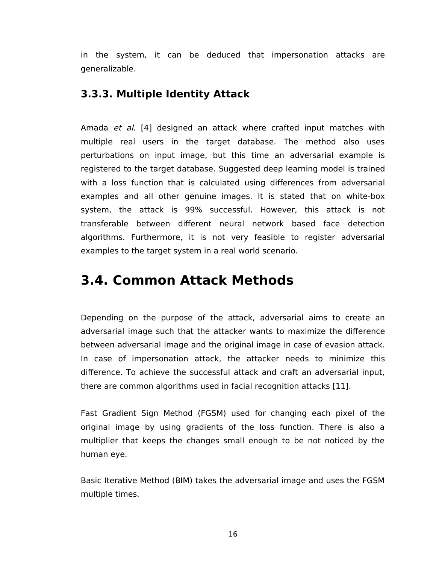in the system, it can be deduced that impersonation attacks are generalizable.

#### <span id="page-22-0"></span>**3.3.3. Multiple Identity Attack**

Amada et al. [4] designed an attack where crafted input matches with multiple real users in the target database. The method also uses perturbations on input image, but this time an adversarial example is registered to the target database. Suggested deep learning model is trained with a loss function that is calculated using differences from adversarial examples and all other genuine images. It is stated that on white-box system, the attack is 99% successful. However, this attack is not transferable between different neural network based face detection algorithms. Furthermore, it is not very feasible to register adversarial examples to the target system in a real world scenario.

### <span id="page-22-1"></span>**3.4. Common Attack Methods**

Depending on the purpose of the attack, adversarial aims to create an adversarial image such that the attacker wants to maximize the difference between adversarial image and the original image in case of evasion attack. In case of impersonation attack, the attacker needs to minimize this difference. To achieve the successful attack and craft an adversarial input, there are common algorithms used in facial recognition attacks [11].

Fast Gradient Sign Method (FGSM) used for changing each pixel of the original image by using gradients of the loss function. There is also a multiplier that keeps the changes small enough to be not noticed by the human eye.

Basic Iterative Method (BIM) takes the adversarial image and uses the FGSM multiple times.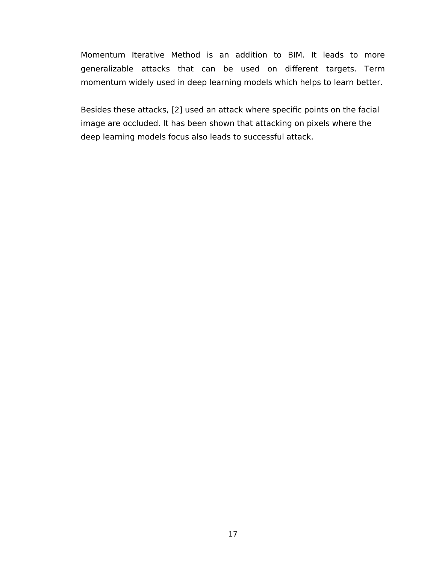Momentum Iterative Method is an addition to BIM. It leads to more generalizable attacks that can be used on different targets. Term momentum widely used in deep learning models which helps to learn better.

Besides these attacks, [2] used an attack where specific points on the facial image are occluded. It has been shown that attacking on pixels where the deep learning models focus also leads to successful attack.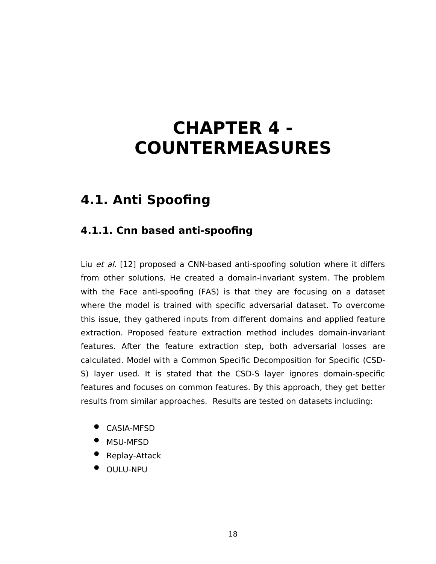## <span id="page-24-0"></span>**CHAPTER 4 - COUNTERMEASURES**

### <span id="page-24-1"></span>**4.1. Anti Spoofing**

#### <span id="page-24-2"></span>**4.1.1. Cnn based anti-spoofing**

Liu et al. [12] proposed a CNN-based anti-spoofing solution where it differs from other solutions. He created a domain-invariant system. The problem with the Face anti-spoofing (FAS) is that they are focusing on a dataset where the model is trained with specific adversarial dataset. To overcome this issue, they gathered inputs from different domains and applied feature extraction. Proposed feature extraction method includes domain-invariant features. After the feature extraction step, both adversarial losses are calculated. Model with a Common Specific Decomposition for Specific (CSD-S) layer used. It is stated that the CSD-S layer ignores domain-specific features and focuses on common features. By this approach, they get better results from similar approaches. Results are tested on datasets including:

- CASIA-MFSD
- MSU-MFSD
- Replay-Attack
- **OULU-NPU**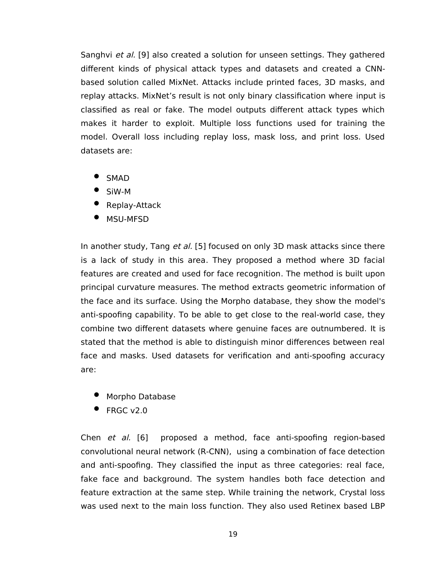Sanghvi et al. [9] also created a solution for unseen settings. They gathered different kinds of physical attack types and datasets and created a CNNbased solution called MixNet. Attacks include printed faces, 3D masks, and replay attacks. MixNet's result is not only binary classification where input is classified as real or fake. The model outputs different attack types which makes it harder to exploit. Multiple loss functions used for training the model. Overall loss including replay loss, mask loss, and print loss. Used datasets are:

- SMAD
- SiW-M
- Replay-Attack
- MSU-MFSD

In another study, Tang et al. [5] focused on only 3D mask attacks since there is a lack of study in this area. They proposed a method where 3D facial features are created and used for face recognition. The method is built upon principal curvature measures. The method extracts geometric information of the face and its surface. Using the Morpho database, they show the model's anti-spoofing capability. To be able to get close to the real-world case, they combine two different datasets where genuine faces are outnumbered. It is stated that the method is able to distinguish minor differences between real face and masks. Used datasets for verification and anti-spoofing accuracy are:

- Morpho Database
- FRGC v2.0

Chen et al. [6] proposed a method, face anti-spoofing region-based convolutional neural network (R-CNN), using a combination of face detection and anti-spoofing. They classified the input as three categories: real face, fake face and background. The system handles both face detection and feature extraction at the same step. While training the network, Crystal loss was used next to the main loss function. They also used Retinex based LBP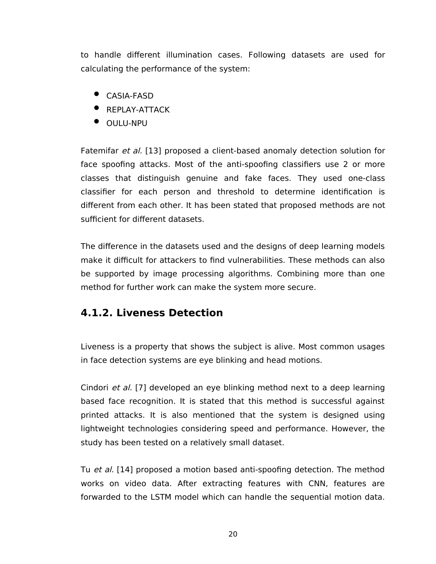to handle different illumination cases. Following datasets are used for calculating the performance of the system:

- CASIA-FASD
- **•** REPLAY-ATTACK
- **OULU-NPU**

Fatemifar et al. [13] proposed a client-based anomaly detection solution for face spoofing attacks. Most of the anti-spoofing classifiers use 2 or more classes that distinguish genuine and fake faces. They used one-class classifier for each person and threshold to determine identification is different from each other. It has been stated that proposed methods are not sufficient for different datasets.

The difference in the datasets used and the designs of deep learning models make it difficult for attackers to find vulnerabilities. These methods can also be supported by image processing algorithms. Combining more than one method for further work can make the system more secure.

#### <span id="page-26-0"></span>**4.1.2. Liveness Detection**

Liveness is a property that shows the subject is alive. Most common usages in face detection systems are eye blinking and head motions.

Cindori et al. [7] developed an eye blinking method next to a deep learning based face recognition. It is stated that this method is successful against printed attacks. It is also mentioned that the system is designed using lightweight technologies considering speed and performance. However, the study has been tested on a relatively small dataset.

Tu et al. [14] proposed a motion based anti-spoofing detection. The method works on video data. After extracting features with CNN, features are forwarded to the LSTM model which can handle the sequential motion data.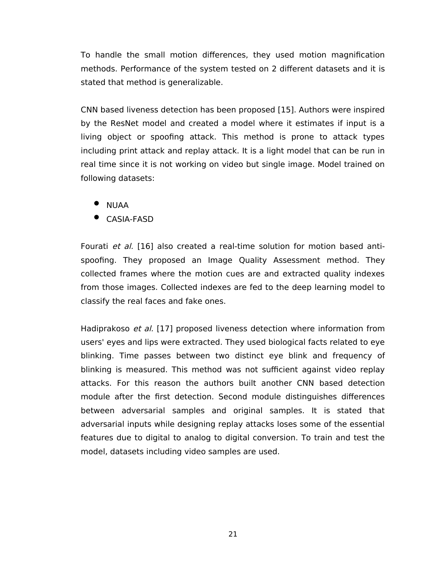To handle the small motion differences, they used motion magnification methods. Performance of the system tested on 2 different datasets and it is stated that method is generalizable.

CNN based liveness detection has been proposed [15]. Authors were inspired by the ResNet model and created a model where it estimates if input is a living object or spoofing attack. This method is prone to attack types including print attack and replay attack. It is a light model that can be run in real time since it is not working on video but single image. Model trained on following datasets:

- NUAA
- CASIA-FASD

Fourati et al. [16] also created a real-time solution for motion based antispoofing. They proposed an Image Quality Assessment method. They collected frames where the motion cues are and extracted quality indexes from those images. Collected indexes are fed to the deep learning model to classify the real faces and fake ones.

Hadiprakoso et al. [17] proposed liveness detection where information from users' eyes and lips were extracted. They used biological facts related to eye blinking. Time passes between two distinct eye blink and frequency of blinking is measured. This method was not sufficient against video replay attacks. For this reason the authors built another CNN based detection module after the first detection. Second module distinguishes differences between adversarial samples and original samples. It is stated that adversarial inputs while designing replay attacks loses some of the essential features due to digital to analog to digital conversion. To train and test the model, datasets including video samples are used.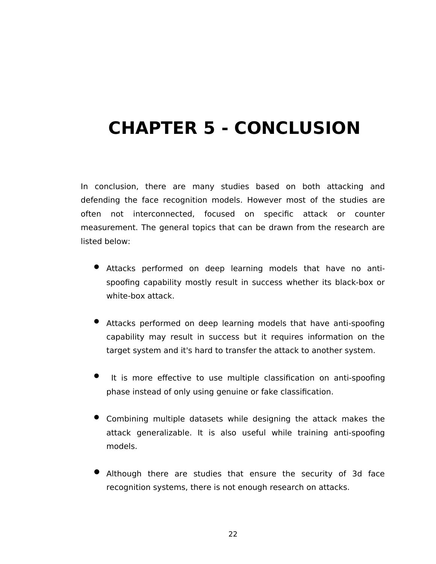# <span id="page-28-0"></span>**CHAPTER 5 - CONCLUSION**

In conclusion, there are many studies based on both attacking and defending the face recognition models. However most of the studies are often not interconnected, focused on specific attack or counter measurement. The general topics that can be drawn from the research are listed below:

- Attacks performed on deep learning models that have no antispoofing capability mostly result in success whether its black-box or white-box attack.
- Attacks performed on deep learning models that have anti-spoofing capability may result in success but it requires information on the target system and it's hard to transfer the attack to another system.
- It is more effective to use multiple classification on anti-spoofing phase instead of only using genuine or fake classification.
- Combining multiple datasets while designing the attack makes the attack generalizable. It is also useful while training anti-spoofing models.
- Although there are studies that ensure the security of 3d face recognition systems, there is not enough research on attacks.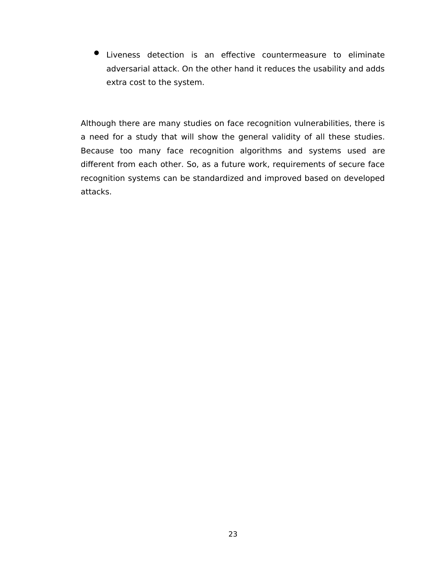Liveness detection is an effective countermeasure to eliminate adversarial attack. On the other hand it reduces the usability and adds extra cost to the system.

Although there are many studies on face recognition vulnerabilities, there is a need for a study that will show the general validity of all these studies. Because too many face recognition algorithms and systems used are different from each other. So, as a future work, requirements of secure face recognition systems can be standardized and improved based on developed attacks.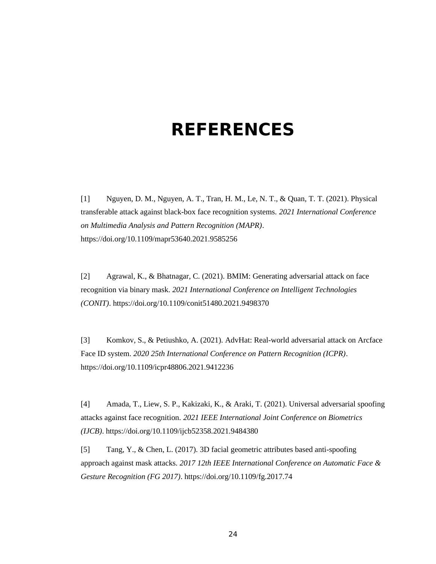# <span id="page-30-0"></span>**REFERENCES**

[1] Nguyen, D. M., Nguyen, A. T., Tran, H. M., Le, N. T., & Quan, T. T. (2021). Physical transferable attack against black-box face recognition systems. *2021 International Conference on Multimedia Analysis and Pattern Recognition (MAPR)*. https://doi.org/10.1109/mapr53640.2021.9585256

[2] Agrawal, K., & Bhatnagar, C. (2021). BMIM: Generating adversarial attack on face recognition via binary mask. *2021 International Conference on Intelligent Technologies (CONIT)*. https://doi.org/10.1109/conit51480.2021.9498370

[3] Komkov, S., & Petiushko, A. (2021). AdvHat: Real-world adversarial attack on Arcface Face ID system. *2020 25th International Conference on Pattern Recognition (ICPR)*. https://doi.org/10.1109/icpr48806.2021.9412236

[4] Amada, T., Liew, S. P., Kakizaki, K., & Araki, T. (2021). Universal adversarial spoofing attacks against face recognition. *2021 IEEE International Joint Conference on Biometrics (IJCB)*. https://doi.org/10.1109/ijcb52358.2021.9484380

[5] Tang, Y., & Chen, L. (2017). 3D facial geometric attributes based anti-spoofing approach against mask attacks. *2017 12th IEEE International Conference on Automatic Face & Gesture Recognition (FG 2017)*. https://doi.org/10.1109/fg.2017.74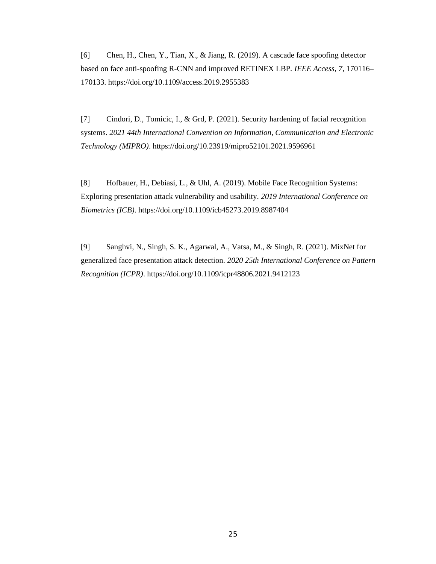[6] Chen, H., Chen, Y., Tian, X., & Jiang, R. (2019). A cascade face spoofing detector based on face anti-spoofing R-CNN and improved RETINEX LBP. *IEEE Access*, *7*, 170116– 170133. https://doi.org/10.1109/access.2019.2955383

[7] Cindori, D., Tomicic, I., & Grd, P. (2021). Security hardening of facial recognition systems. *2021 44th International Convention on Information, Communication and Electronic Technology (MIPRO)*. https://doi.org/10.23919/mipro52101.2021.9596961

[8] Hofbauer, H., Debiasi, L., & Uhl, A. (2019). Mobile Face Recognition Systems: Exploring presentation attack vulnerability and usability. *2019 International Conference on Biometrics (ICB)*. https://doi.org/10.1109/icb45273.2019.8987404

[9] Sanghvi, N., Singh, S. K., Agarwal, A., Vatsa, M., & Singh, R. (2021). MixNet for generalized face presentation attack detection. *2020 25th International Conference on Pattern Recognition (ICPR)*. https://doi.org/10.1109/icpr48806.2021.9412123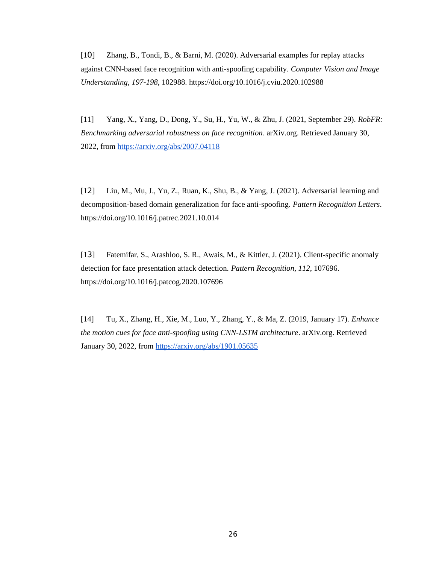[10] Zhang, B., Tondi, B., & Barni, M. (2020). Adversarial examples for replay attacks against CNN-based face recognition with anti-spoofing capability. *Computer Vision and Image Understanding*, *197-198*, 102988. https://doi.org/10.1016/j.cviu.2020.102988

[11] Yang, X., Yang, D., Dong, Y., Su, H., Yu, W., & Zhu, J. (2021, September 29). *RobFR: Benchmarking adversarial robustness on face recognition*. arXiv.org. Retrieved January 30, 2022, from<https://arxiv.org/abs/2007.04118>

[12] Liu, M., Mu, J., Yu, Z., Ruan, K., Shu, B., & Yang, J. (2021). Adversarial learning and decomposition-based domain generalization for face anti-spoofing. *Pattern Recognition Letters*. https://doi.org/10.1016/j.patrec.2021.10.014

[13] Fatemifar, S., Arashloo, S. R., Awais, M., & Kittler, J. (2021). Client-specific anomaly detection for face presentation attack detection. *Pattern Recognition*, *112*, 107696. https://doi.org/10.1016/j.patcog.2020.107696

[14] Tu, X., Zhang, H., Xie, M., Luo, Y., Zhang, Y., & Ma, Z. (2019, January 17). *Enhance the motion cues for face anti-spoofing using CNN-LSTM architecture.* arXiv.org. Retrieved January 30, 2022, from<https://arxiv.org/abs/1901.05635>